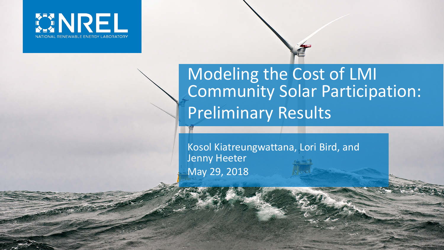

# Modeling the Cost of LMI Community Solar Participation: Preliminary Results

Kosol Kiatreungwattana, Lori Bird, and Jenny Heeter May 29, 2018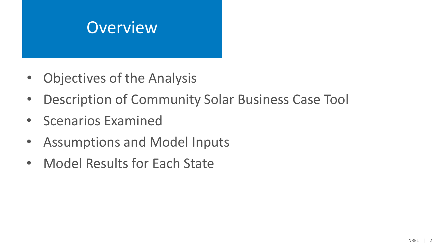# **Overview**

- Objectives of the Analysis
- Description of Community Solar Business Case Tool
- Scenarios Examined
- Assumptions and Model Inputs
- Model Results for Each State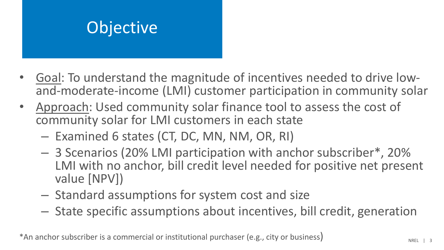# **Objective**

- Goal: To understand the magnitude of incentives needed to drive low- and-moderate-income (LMI) customer participation in community solar
- Approach: Used community solar finance tool to assess the cost of community solar for LMI customers in each state
	- Examined 6 states (CT, DC, MN, NM, OR, RI)
	- 3 Scenarios (20% LMI participation with anchor subscriber\*, 20% LMI with no anchor, bill credit level needed for positive net present value [NPV])
	- Standard assumptions for system cost and size
	- State specific assumptions about incentives, bill credit, generation

\*An anchor subscriber is a commercial or institutional purchaser (e.g., city or business)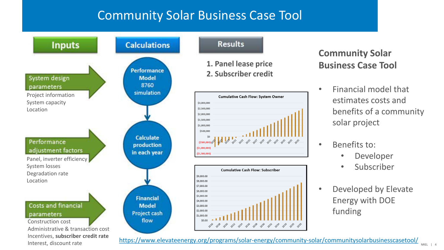## Community Solar Business Case Tool

\$4,000.00

\$3,000.00 \$2,000.00

\$1,000.00

\$0.00





### **Community Solar Business Case Tool**

- Financial model that estimates costs and benefits of a community solar project
- Benefits to:
	- Developer
	- Subscriber
- Developed by Elevate Energy with DOE funding

<https://www.elevateenergy.org/programs/solar-energy/community-solar/communitysolarbusinesscasetool/>

- *\*\** \*\* \*\* \*\* \*\* \*\* \*\* \*\* \*\* \*\* \*\*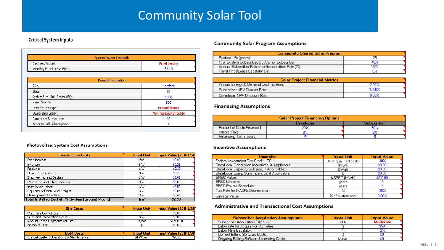## Community Solar Tool

#### **Critical System Inputs**

| <b>System Owner Financials</b> |                      |
|--------------------------------|----------------------|
| <b>Business Model:</b>         | <b>Panel Leasing</b> |
| Monthly Panel Lease Price:     |                      |

| <b>Project Information</b>   |                              |  |
|------------------------------|------------------------------|--|
| City:                        | Hartford                     |  |
| State:                       | <b>CT</b>                    |  |
| System Size - DC (Gross kW): | 1000                         |  |
| Panel Size (W):              | 300                          |  |
| <b>Installation Type:</b>    | <b>Ground Mount</b>          |  |
| Ownership Entity:            | <b>Non Tax-Exempt Entity</b> |  |
| Panels per Subscriber:       | 10                           |  |
| Years to Full Subscription:  |                              |  |

#### **Community Solar Program Assumptions**

| <b>Community Shared Solar Program</b>              |     |  |
|----------------------------------------------------|-----|--|
| Sustem Life (vears):                               |     |  |
| % of System Subscribed by Anchor Subscriber:       | 40% |  |
| Annual Subscriber Retirement/Acquisition Rate [%]: | 15% |  |
| Panel Price Lease Escalator (%):                   |     |  |

| <b>Solar Project Financial Metrics</b> |        |  |  |
|----------------------------------------|--------|--|--|
| Annual Energy & Demand Cost Increase:  | 2.00%  |  |  |
| Subscriber NPV Disount Rate:           | 10.00% |  |  |
| Deverloper NPV Discount Rate:          | 8 NO%  |  |  |

#### **Finanacing Assumptions**

| <b>Solar Project Financing Options</b> |           |                   |  |
|----------------------------------------|-----------|-------------------|--|
|                                        | Developer | <b>Subscriber</b> |  |
| Percent of Costs Financed:             |           | 50%               |  |
| Interest Rate:                         |           | 8%                |  |
| Financing Term (years):                |           |                   |  |

#### **Incentive Assumptions**

| Incentive                                         | <b>Input Unit</b>    | <b>Input Value</b> |
|---------------------------------------------------|----------------------|--------------------|
| Federal Investment Tax Credit (ITC):              | % of qualified costs | 30%                |
| State/Local Generation Incentives, if Applicable: | \$/kWh               | \$0.00             |
| State/Local Capacity Subsidy, if Applicable:      | <b>S/Watt</b>        | \$0.00             |
| State/Local Lump Sum Incentive, if Applicable:    |                      | \$0.00             |
| SREC Value:                                       | \$/SREC (MWh)        | \$210.00           |
| <b>SREC</b> Lifetime:                             | vears                |                    |
| <b>SREC Payout Schedule:</b>                      | vears                |                    |
| Tax Rate for MACRs Depreciation:                  | %                    | 35%                |
| Salvage Value:                                    | % of sustem cost     | 0.00%              |

#### **Administrative and Transactional Cost Assumptions**

| <b>Subscriber Acquisition Assumptions</b> | <b>Input Unit</b> | <b>Input Value</b> |
|-------------------------------------------|-------------------|--------------------|
| Subscriber Acquisition Difficultu:        | NA                | <b>Moderate</b>    |
| Labor rate for Acquisition Activities:    |                   | \$50               |
| Labor Rate Escalator:                     |                   | 2%                 |
| Upfront Billing Software Costs:           |                   |                    |
| Ongoing Billing Software Licensing Costs: | <b>S</b> ivear    |                    |

#### Photovoltaic System Cost Assumptions

| <b>Construction Costs</b>                               | <b>Input Unit</b> | hput Value (2016 USD) |
|---------------------------------------------------------|-------------------|-----------------------|
| PV Modules:                                             | <b>S/W</b>        | \$0.90                |
| Inverters:                                              | <b>S/W</b>        | \$0.28                |
| Racking:                                                | <b>S/W</b>        | \$0.30                |
| Balance of System:                                      | <b>SIW</b>        | \$0.25                |
| Engineering and Design:                                 | <b>S/W</b>        | \$0.08                |
| Permitting and Interconnection:                         | \$W               | \$0.09                |
| Installation Labor:                                     | \$W               | \$0.50                |
| Equipment Rental and Freight:                           | \$W               | \$0.05                |
| Development Overhead:                                   | <b>SAM</b>        | \$0.45                |
| <b>Total Installed Cost of PV System (Ground Mount)</b> | <b>SIW</b>        | \$2.90                |

| <b>Site Costs</b>               | <b>Input Unit</b> | hput Value (2016 USD) |
|---------------------------------|-------------------|-----------------------|
| Purchase Cost of Site:          |                   | \$0.00                |
| SitelLand Preparation Costs:    | \$YW              | \$0.00                |
| Annual Lease Payments for Site: | \$/vear           | \$1,500.00            |
| Removal Cost                    |                   | \$0.00                |

| <b>J&amp;M Costs</b>                    | <b>Input Unit</b> | hput Value (2016 USI |
|-----------------------------------------|-------------------|----------------------|
| Annual System Operations & Maintenance: | <b>纵Wvear</b>     | \$20.00              |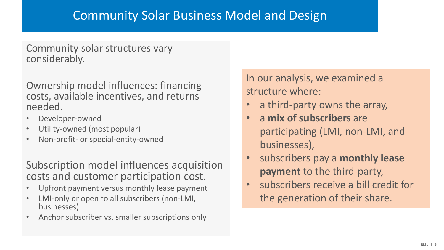### Community Solar Business Model and Design

Community solar structures vary considerably.

Ownership model influences: financing costs, available incentives, and returns needed.

- Developer-owned
- Utility-owned (most popular)
- Non-profit- or special-entity-owned

Subscription model influences acquisition costs and customer participation cost.

- Upfront payment versus monthly lease payment
- LMI-only or open to all subscribers (non-LMI, businesses)
- Anchor subscriber vs. smaller subscriptions only

In our analysis, we examined a structure where:

- a third-party owns the array,
- a **mix of subscribers** are participating (LMI, non-LMI, and businesses),
- subscribers pay a **monthly lease payment** to the third-party,
- subscribers receive a bill credit for the generation of their share.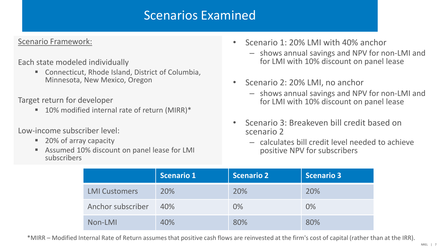### Scenarios Examined

### Scenario Framework:

### Each state modeled individually

 Connecticut, Rhode Island, District of Columbia, Minnesota, New Mexico, Oregon

Target return for developer

■ 10% modified internal rate of return (MIRR)\*

Low-income subscriber level:

- 20% of array capacity
- Assumed 10% discount on panel lease for LMI subscribers
- Scenario 1: 20% LMI with 40% anchor
	- shows annual savings and NPV for non-LMI and for LMI with 10% discount on panel lease
- Scenario 2: 20% LMI, no anchor
	- shows annual savings and NPV for non-LMI and for LMI with 10% discount on panel lease
- Scenario 3: Breakeven bill credit based on scenario 2
	- calculates bill credit level needed to achieve positive NPV for subscribers

|                      | <b>Scenario 1</b> | Scenario 2 | <b>Scenario 3</b> |
|----------------------|-------------------|------------|-------------------|
| <b>LMI Customers</b> | 20%               | 20%        | 20%               |
| Anchor subscriber    | 40%               | $0\%$      | 0%                |
| Non-LMI              | 40%               | 80%        | 80%               |

\*MIRR – Modified Internal Rate of Return assumes that positive cash flows are reinvested at the firm's cost of capital (rather than at the IRR).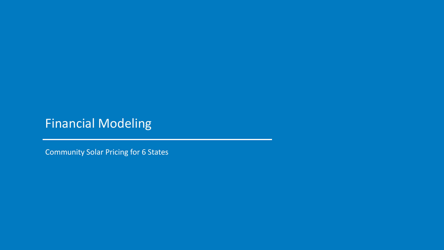## Financial Modeling

Community Solar Pricing for 6 States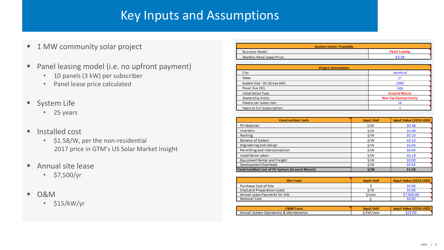## Key Inputs and Assumptions

### ■ 1 MW community solar project

- **Panel leasing model (i.e. no upfront payment)** 
	- 10 panels (3 kW) per subscriber
	- Panel lease price calculated
- **System Life** 
	- 25 years
- Installed cost
	- \$1.58/W, per the non-residential 2017 price in GTM's US Solar Market Insight
- Annual site lease
	- \$7,500/yr
- 0&M
	- \$15/kW/yr

| <b>System Owner Financials</b> |                      |  |
|--------------------------------|----------------------|--|
| <b>Business Model:</b>         | <b>Panel Leasing</b> |  |
| Monthly Panel Lease Price:     | \$3.38               |  |

| <b>Project Information</b>   |                              |  |  |  |
|------------------------------|------------------------------|--|--|--|
| City:                        | Hartford                     |  |  |  |
| State:                       | СT                           |  |  |  |
| System Size - DC (Gross kW): | 1000                         |  |  |  |
| Panel Size (W):              | 300                          |  |  |  |
| <b>Installation Type:</b>    | <b>Ground Mount</b>          |  |  |  |
| Ownership Entity:            | <b>Non Tax-Exempt Entity</b> |  |  |  |
| Panels per Subscriber:       | 10                           |  |  |  |
| Years to Full Subscription:  |                              |  |  |  |

| <b>Construction Costs</b>                               | <b>Input Unit</b> | Input Value (2016 USD) |
|---------------------------------------------------------|-------------------|------------------------|
| <b>PV Modules:</b>                                      | \$/w              | \$0.48                 |
| Inverters:                                              | S/W               | \$0.08                 |
| Racking:                                                | S/W               | \$0.10                 |
| <b>Balance of System:</b>                               | S/W               | \$0.10                 |
| <b>Engineering and Design:</b>                          | \$/W              | \$0.06                 |
| Permitting and Interconnection:                         | S/W               | \$0.04                 |
| Installation Labor:                                     | S/W               | \$0.18                 |
| Equipment Rental and Freight:                           | S/W               | \$0.00                 |
| Development Overhead:                                   | S/W               | \$0.54                 |
| <b>Total Installed Cost of PV System (Ground Mount)</b> | S/W               | <b>S1.58</b>           |

| <b>Site Costs</b>                   | <b>Input Unit</b>             | Input Value (2016 USD) |
|-------------------------------------|-------------------------------|------------------------|
| Purchase Cost of Site:              |                               | \$0.00                 |
| <b>Site/Land Preparation Costs:</b> | s/w                           | \$0.06                 |
| Annual Lease Payments for Site:     | S/vear                        | \$7,500.00             |
| Removal Cost:                       |                               | \$0.00                 |
|                                     |                               |                        |
| 0.0.000                             | <b>The country of the Car</b> | $I = I$                |

| <b>O&amp;M Costs</b>                    | <b>Input Unit</b> | Input Value (2016 USD) |
|-----------------------------------------|-------------------|------------------------|
| Annual System Operations & Maintenance: | S/kW/vear         | \$15.00                |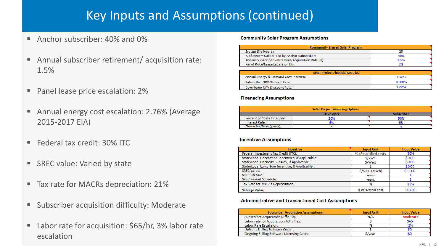## Key Inputs and Assumptions (continued)

- Anchor subscriber: 40% and 0%
- Annual subscriber retirement/ acquisition rate: 1.5%
- Panel lease price escalation: 2%
- Annual energy cost escalation: 2.76% (Average 2015-2017 EIA)
- Federal tax credit: 30% ITC
- SREC value: Varied by state
- Tax rate for MACRs depreciation: 21%
- **Subscriber acquisition difficulty: Moderate**
- Labor rate for acquisition: \$65/hr, 3% labor rate escalation

#### **Community Solar Program Assumptions**

| <b>Community Shared Solar Program</b>              |      |  |  |  |  |
|----------------------------------------------------|------|--|--|--|--|
| System Life (years):                               |      |  |  |  |  |
| % of System Subscribed by Anchor Subscriber:       | 40%  |  |  |  |  |
| Annual Subscriber Retirement/Acquisition Rate (%): | 1.5% |  |  |  |  |
| Panel Price/Lease Escalator (%):                   |      |  |  |  |  |

| <b>Solar Project Financial Metrics</b> |        |  |  |  |  |
|----------------------------------------|--------|--|--|--|--|
| Annual Energy & Demand Cost Increase:  | 2.76%  |  |  |  |  |
| Subscriber NPV Disount Rate:           | 10.00% |  |  |  |  |
| Deverloper NPV Discount Rate:          | 8.00%  |  |  |  |  |

#### **Finanacing Assumptions**

| <b>Solar Project Financing Options</b> |     |     |  |  |  |  |  |
|----------------------------------------|-----|-----|--|--|--|--|--|
| Cuhcerihar<br><b>Developer</b>         |     |     |  |  |  |  |  |
| Percent of Costs Financed:             | 20% | 50% |  |  |  |  |  |
| Interest Rate:                         | 694 |     |  |  |  |  |  |
| Financing Term (years):                |     |     |  |  |  |  |  |

#### **Incentive Assumptions**

| <b>Incentive</b>                                  | <b>Input Unit</b>    | <b>Input Value</b> |
|---------------------------------------------------|----------------------|--------------------|
| Federal Investment Tax Credit (ITC):              | % of qualified costs | 30%                |
| State/Local Generation Incentives, if Applicable: | S/kWh                | \$0.00             |
| State/Local Capacity Subsidy, if Applicable:      | \$/Watt              | \$0.00             |
| State/Local Lump Sum Incentive, if Applicable:    |                      | \$0.00             |
| <b>SREC Value:</b>                                | S/SREC (MWh)         | \$55.00            |
| <b>SREC Lifetime:</b>                             | vears                |                    |
| <b>SREC Payout Schedule:</b>                      | vears                |                    |
| Tax Rate for MACRs Depreciation:                  | 96                   | 21%                |
| Salvage Value:                                    | % of system cost     | 0.00%              |

#### **Administrative and Transactional Cost Assumptions**

| <b>Subscriber Acquisition Assumptions</b>        | <b>Input Unit</b> | <b>Input Value</b> |
|--------------------------------------------------|-------------------|--------------------|
| <b>Subscriber Acquisition Difficulty:</b>        | N/A               | Moderate           |
| Labor rate for Acquisition Activities:           |                   | <b>S65</b>         |
| Labor Rate Escalator:                            |                   | 3%                 |
| <b>Upfront Billing Software Costs:</b>           |                   |                    |
| <b>Ongoing Billing Software Licensing Costs:</b> | s/vear            |                    |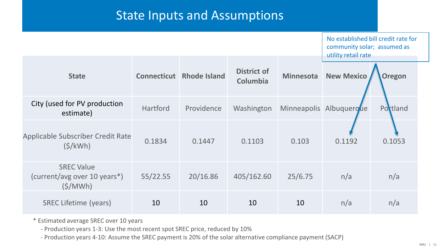## State Inputs and Assumptions

|                                                                 | community solar; assumed as<br>utility retail rate | No established bill credit rate for |                                |                  |                         |               |
|-----------------------------------------------------------------|----------------------------------------------------|-------------------------------------|--------------------------------|------------------|-------------------------|---------------|
| <b>State</b>                                                    |                                                    | <b>Connecticut</b> Rhode Island     | <b>District of</b><br>Columbia | <b>Minnesota</b> | <b>New Mexico</b>       | <b>Oregon</b> |
| City (used for PV production<br>estimate)                       | Hartford                                           | Providence                          | Washington                     |                  | Minneapolis Albuquergue | Portland      |
| <b>Applicable Subscriber Credit Rate</b><br>$(\frac{\xi}{kWh})$ | 0.1834                                             | 0.1447                              | 0.1103                         | 0.103            | 0.1192                  | 0.1053        |
| <b>SREC Value</b><br>(current/avg over 10 years*)<br>(S/MWh)    | 55/22.55                                           | 20/16.86                            | 405/162.60                     | 25/6.75          | n/a                     | n/a           |
| <b>SREC Lifetime (years)</b>                                    | 10                                                 | 10                                  | 10                             | 10               | n/a                     | n/a           |

\* Estimated average SREC over 10 years

- Production years 1-3: Use the most recent spot SREC price, reduced by 10%

- Production years 4-10: Assume the SREC payment is 20% of the solar alternative compliance payment (SACP)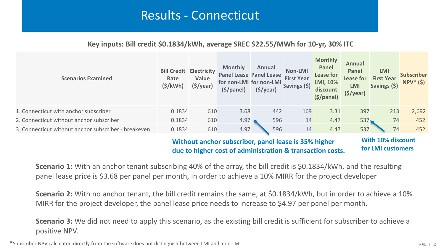### Results - Connecticut

### **Key inputs: Bill credit \$0.1834/kWh, average SREC \$22.55/MWh for 10-yr, 30% ITC**

| <b>Scenarios Examined</b>                            | <b>Bill Credit</b><br>Rate<br>$(\frac{\xi}{kWh})$ | Electricity<br>Value<br>$(\frac{1}{2})\sqrt{2}$ | <b>Monthly</b><br><b>Panel Lease Panel Lease</b><br>for non-LMI for non-LMI<br>(\$/panel) | Annual<br>$(\frac{1}{2})\sqrt{2}$ | Non-LMI<br><b>First Year</b><br>Savings (\$) | <b>Monthly</b><br>Panel<br>Lease for<br>LMI, 10%<br>discount<br>$(\frac{1}{2})$ | Annual<br>Panel<br>Lease for<br><b>LMI</b><br>$(\frac{1}{2})\sqrt{2}$ | <b>LMI</b><br><b>First Year</b><br>Savings (\$) | <b>Subscriber</b><br>$NPV^*(\$)$ |
|------------------------------------------------------|---------------------------------------------------|-------------------------------------------------|-------------------------------------------------------------------------------------------|-----------------------------------|----------------------------------------------|---------------------------------------------------------------------------------|-----------------------------------------------------------------------|-------------------------------------------------|----------------------------------|
| 1. Connecticut with anchor subscriber                | 0.1834                                            | 610                                             | 3.68                                                                                      | 442                               | 169                                          | 3.31                                                                            | 397                                                                   | 213                                             | 2,692                            |
| 2. Connecticut without anchor subscriber             | 0.1834                                            | 610                                             | 4.97                                                                                      | 596                               | 14                                           | 4.47                                                                            | 537                                                                   | 74                                              | 452                              |
| 3. Connecticut without anchor subscriber - breakeven | 0.1834                                            | 610                                             | 4.97                                                                                      | 596                               | 14                                           | 4.47                                                                            | 537                                                                   | 74                                              | 452                              |

### **Without anchor subscriber, panel lease is 35% higher due to higher cost of administration & transaction costs.**

**With 10% discount for LMI customers** 

**Scenario 1:** With an anchor tenant subscribing 40% of the array, the bill credit is \$0.1834/kWh, and the resulting panel lease price is \$3.68 per panel per month, in order to achieve a 10% MIRR for the project developer

**Scenario 2:** With no anchor tenant, the bill credit remains the same, at \$0.1834/kWh, but in order to achieve a 10% MIRR for the project developer, the panel lease price needs to increase to \$4.97 per panel per month.

**Scenario 3:** We did not need to apply this scenario, as the existing bill credit is sufficient for subscriber to achieve a positive NPV.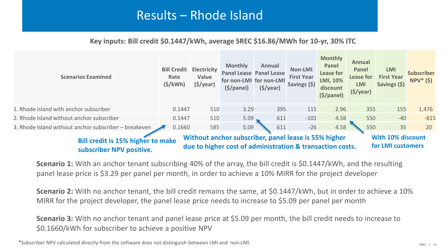## Results – Rhode Island

### **Key inputs: Bill credit \$0.1447/kWh, average SREC \$16.86/MWh for 10-yr, 30% ITC**

| <b>Scenarios Examined</b>                                                                        | <b>Bill Credit</b><br>Rate<br>$(\frac{1}{2}/kWh)$ | <b>Electricity</b><br>Value<br>$(\frac{1}{2})\sqrt{2}$ | <b>Monthly</b><br><b>Panel Lease Panel Lease</b><br>for non-LMI for non-LMI<br>(S/panel) | Annual<br>$(\frac{1}{2})\sqrt{2}$ | Non-LMI<br><b>First Year</b><br>Savings (\$) | <b>Monthly</b><br>Panel<br>Lease for<br>LMI, 10%<br>discount<br>$(\frac{1}{2})$ | Annual<br>Panel<br>Lease for<br><b>LMI</b><br>$(\frac{1}{2})\sqrt{2}$ | <b>LMI</b><br><b>First Year</b><br>Savings (\$) | <b>Subscriber</b><br>$NPV^*(\$)$ |
|--------------------------------------------------------------------------------------------------|---------------------------------------------------|--------------------------------------------------------|------------------------------------------------------------------------------------------|-----------------------------------|----------------------------------------------|---------------------------------------------------------------------------------|-----------------------------------------------------------------------|-------------------------------------------------|----------------------------------|
| 1. Rhode Island with anchor subscriber                                                           | 0.1447                                            | 510                                                    | 3.29                                                                                     | 395                               | 115                                          | 2.96                                                                            | 355                                                                   | 155                                             | 1,476                            |
| 2. Rhode Island without anchor subscriber                                                        | 0.1447                                            | 510                                                    | 5.09                                                                                     | 611                               | $-101$                                       | 4.58                                                                            | 550                                                                   | $-40$                                           | $-815$                           |
| 3. Rhode Island without anchor subscriber – breakeven                                            | 0.1660                                            | 585                                                    | 5.09                                                                                     | 611                               | $-26$                                        | 4.58                                                                            | 550                                                                   | 35                                              | 20                               |
| Without anchor subscriber, panel lease is 55% higher<br><b>Bill credit is 15% higher to make</b> |                                                   |                                                        |                                                                                          |                                   |                                              |                                                                                 |                                                                       | <b>With 10% discount</b>                        |                                  |

**subscriber NPV positive.**

**due to higher cost of administration & transaction costs.** 

**for LMI customers** 

**Scenario 1:** With an anchor tenant subscribing 40% of the array, the bill credit is \$0.1447/kWh, and the resulting panel lease price is \$3.29 per panel per month, in order to achieve a 10% MIRR for the project developer

**Scenario 2:** With no anchor tenant, the bill credit remains the same, at \$0.1447/kWh, but in order to achieve a 10% MIRR for the project developer, the panel lease price needs to increase to \$5.09 per panel per month

**Scenario 3:** With no anchor tenant and panel lease price at \$5.09 per month, the bill credit needs to increase to \$0.1660/kWh for subscriber to achieve a positive NPV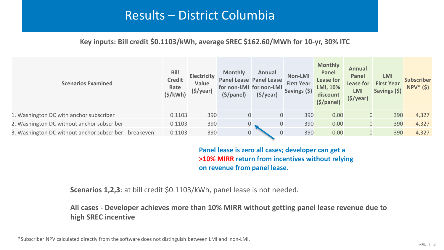## Results – District Columbia

### **Key inputs: Bill credit \$0.1103/kWh, average SREC \$162.60/MWh for 10-yr, 30% ITC**

| <b>Scenarios Examined</b>                              | <b>Bill</b><br><b>Credit</b><br>Rate<br>(S/KWh) | Electricity<br>Value<br>$(\frac{1}{2})\sqrt{2}$ | <b>Monthly</b><br><b>Panel Lease Panel Lease</b><br>for non-LMI for non-LMI<br>$(\frac{1}{2})$ | Annual<br>$(\frac{1}{2})\sqrt{2}$ | Non-LMI<br><b>First Year</b><br>Savings (\$) | <b>Monthly</b><br>Panel<br>Lease for<br>LMI, 10%<br>discount<br>$(\frac{1}{2})$ | Annual<br>Panel<br>Lease for<br><b>LMI</b><br>$(\frac{1}{2})\sqrt{2}$ | <b>LMI</b><br><b>First Year</b><br>Savings (\$) | <b>Subscriber</b><br>$NPV^*(\$)$ |
|--------------------------------------------------------|-------------------------------------------------|-------------------------------------------------|------------------------------------------------------------------------------------------------|-----------------------------------|----------------------------------------------|---------------------------------------------------------------------------------|-----------------------------------------------------------------------|-------------------------------------------------|----------------------------------|
| 1. Washington DC with anchor subscriber                | 0.1103                                          | 390                                             | $\mathbf 0$                                                                                    | $\mathbf{0}$                      | 390                                          | 0.00                                                                            |                                                                       | 390                                             | 4,327                            |
| 2. Washington DC without anchor subscriber             | 0.1103                                          | 390                                             | 0                                                                                              | $\overline{0}$                    | 390                                          | 0.00                                                                            |                                                                       | 390                                             | 4,327                            |
| 3. Washington DC without anchor subscriber - breakeven | 0.1103                                          | 390                                             | 0                                                                                              | $\mathbf 0$                       | 390                                          | 0.00                                                                            | 0                                                                     | 390                                             | 4,327                            |
|                                                        |                                                 |                                                 |                                                                                                |                                   |                                              |                                                                                 |                                                                       |                                                 |                                  |

**Panel lease is zero all cases; developer can get a >10% MIRR return from incentives without relying on revenue from panel lease.**

**Scenarios 1,2,3**: at bill credit \$0.1103/kWh, panel lease is not needed.

**All cases - Developer achieves more than 10% MIRR without getting panel lease revenue due to high SREC incentive**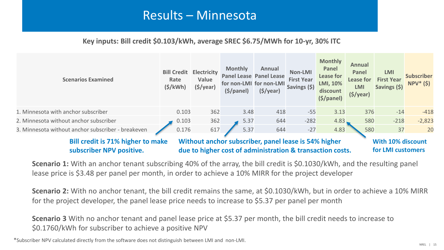## Results – Minnesota

### **Key inputs: Bill credit \$0.103/kWh, average SREC \$6.75/MWh for 10-yr, 30% ITC**

| <b>Scenarios Examined</b>                                            | <b>Bill Credit</b><br>Rate<br>$(\frac{\xi}{kWh})$ | Electricity<br>Value<br>$(\frac{1}{2})\sqrt{2}$                                                                   | <b>Monthly</b><br>$(\frac{1}{2})$ | Annual<br><b>Panel Lease Panel Lease</b><br>for non-LMI for non-LMI<br>$(\frac{1}{2})\sqrt{2}$ | Non-LMI<br><b>First Year</b><br>Savings (\$) | <b>Monthly</b><br>Panel<br>Lease for<br>LMI, 10%<br>discount<br>(S/panel) | Annual<br>Panel<br>Lease for<br><b>LMI</b><br>$(\frac{1}{2})\sqrt{2}$ | <b>LMI</b><br><b>First Year</b><br>Savings (\$) | <b>Subscriber</b><br>$NPV^*(\xi)$ |
|----------------------------------------------------------------------|---------------------------------------------------|-------------------------------------------------------------------------------------------------------------------|-----------------------------------|------------------------------------------------------------------------------------------------|----------------------------------------------|---------------------------------------------------------------------------|-----------------------------------------------------------------------|-------------------------------------------------|-----------------------------------|
| 1. Minnesota with anchor subscriber                                  | 0.103                                             | 362                                                                                                               | 3.48                              | 418                                                                                            | $-55$                                        | 3.13                                                                      | 376                                                                   | $-14$                                           | $-418$                            |
| 2. Minnesota without anchor subscriber                               | 0.103                                             | 362                                                                                                               | 5.37                              | 644                                                                                            | $-282$                                       | 4.83,                                                                     | 580                                                                   | $-218$                                          | $-2,823$                          |
| 3. Minnesota without anchor subscriber - breakeven                   | 0.176                                             | 617                                                                                                               | 5.37                              | 644                                                                                            | $-27$                                        | 4.83                                                                      | 580                                                                   | 37                                              | 20                                |
| <b>Bill credit is 71% higher to make</b><br>subscriber NPV positive. |                                                   | Without anchor subscriber, panel lease is 54% higher<br>due to higher cost of administration & transaction costs. |                                   |                                                                                                |                                              |                                                                           | With 10% discount<br>for LMI customers                                |                                                 |                                   |

**Scenario 1:** With an anchor tenant subscribing 40% of the array, the bill credit is \$0.1030/kWh, and the resulting panel lease price is \$3.48 per panel per month, in order to achieve a 10% MIRR for the project developer

**Scenario 2:** With no anchor tenant, the bill credit remains the same, at \$0.1030/kWh, but in order to achieve a 10% MIRR for the project developer, the panel lease price needs to increase to \$5.37 per panel per month

**Scenario 3** With no anchor tenant and panel lease price at \$5.37 per month, the bill credit needs to increase to \$0.1760/kWh for subscriber to achieve a positive NPV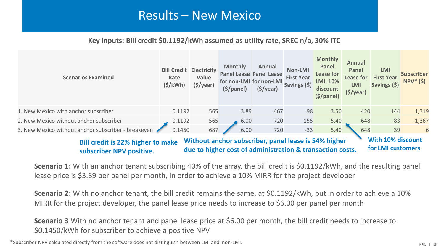### Results – New Mexico

### **Key inputs: Bill credit \$0.1192/kWh assumed as utility rate, SREC n/a, 30% ITC**

| <b>Scenarios Examined</b>                                                                        | <b>Bill Credit</b><br>Rate<br>$(\frac{\xi}{kWh})$ | <b>Electricity</b><br>Value<br>$(\frac{1}{2})\sqrt{2}$ | <b>Monthly</b><br>$(\frac{1}{2})$ | Annual<br><b>Panel Lease Panel Lease</b><br>for non-LMI for non-LMI<br>$(\frac{1}{2})\sqrt{2}$ | Non-LMI<br><b>First Year</b><br>Savings (\$) | <b>Monthly</b><br>Panel<br>Lease for<br>LMI, 10%<br>discount<br>$(\frac{1}{2})$ | Annual<br>Panel<br>Lease for<br><b>LMI</b><br>$(\frac{1}{2})\sqrt{2}$ | LMI<br><b>First Year</b><br>Savings (\$) | <b>Subscriber</b><br>$NPV^*(\$)$ |
|--------------------------------------------------------------------------------------------------|---------------------------------------------------|--------------------------------------------------------|-----------------------------------|------------------------------------------------------------------------------------------------|----------------------------------------------|---------------------------------------------------------------------------------|-----------------------------------------------------------------------|------------------------------------------|----------------------------------|
| 1. New Mexico with anchor subscriber                                                             | 0.1192                                            | 565                                                    | 3.89                              | 467                                                                                            | 98                                           | 3.50                                                                            | 420                                                                   | 144                                      | 1,319                            |
| 2. New Mexico without anchor subscriber                                                          | 0.1192                                            | 565                                                    | 6.00                              | 720                                                                                            | $-155$                                       | 5.40                                                                            | 648                                                                   | $-83$                                    | $-1,367$                         |
| 3. New Mexico without anchor subscriber - breakeven                                              | 0.1450                                            | 687                                                    | 6.00                              | 720                                                                                            | $-33$                                        | 5.40                                                                            | 648                                                                   | 39                                       | 6                                |
| Without anchor subscriber, panel lease is 54% higher<br><b>Bill credit is 22% higher to make</b> |                                                   |                                                        |                                   |                                                                                                |                                              |                                                                                 |                                                                       | With 10% discount                        |                                  |

**for LMI customers** 

**Scenario 1:** With an anchor tenant subscribing 40% of the array, the bill credit is \$0.1192/kWh, and the resulting panel lease price is \$3.89 per panel per month, in order to achieve a 10% MIRR for the project developer

**Scenario 2:** With no anchor tenant, the bill credit remains the same, at \$0.1192/kWh, but in order to achieve a 10% MIRR for the project developer, the panel lease price needs to increase to \$6.00 per panel per month

**due to higher cost of administration & transaction costs.**

**Scenario 3** With no anchor tenant and panel lease price at \$6.00 per month, the bill credit needs to increase to \$0.1450/kWh for subscriber to achieve a positive NPV

\*Subscriber NPV calculated directly from the software does not distinguish between LMI and non-LMI.

**subscriber NPV positive.**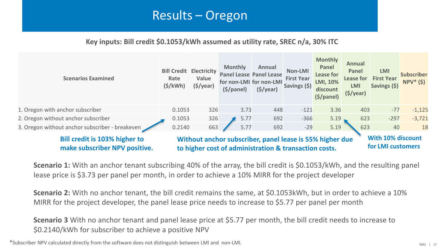### Results – Oregon

### **Key inputs: Bill credit \$0.1053/kWh assumed as utility rate, SREC n/a, 30% ITC**



**make subscriber NPV positive.**

**to higher cost of administration & transaction costs.**

**for LMI customers** 

**Scenario 1:** With an anchor tenant subscribing 40% of the array, the bill credit is \$0.1053/kWh, and the resulting panel lease price is \$3.73 per panel per month, in order to achieve a 10% MIRR for the project developer

**Scenario 2:** With no anchor tenant, the bill credit remains the same, at \$0.1053kWh, but in order to achieve a 10% MIRR for the project developer, the panel lease price needs to increase to \$5.77 per panel per month

**Scenario 3** With no anchor tenant and panel lease price at \$5.77 per month, the bill credit needs to increase to \$0.2140/kWh for subscriber to achieve a positive NPV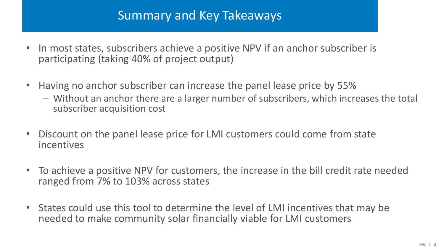## Summary and Key Takeaways

- In most states, subscribers achieve a positive NPV if an anchor subscriber is participating (taking 40% of project output)
- Having no anchor subscriber can increase the panel lease price by 55%
	- Without an anchor there are a larger number of subscribers, which increases the total subscriber acquisition cost
- Discount on the panel lease price for LMI customers could come from state incentives
- To achieve a positive NPV for customers, the increase in the bill credit rate needed ranged from 7% to 103% across states
- States could use this tool to determine the level of LMI incentives that may be needed to make community solar financially viable for LMI customers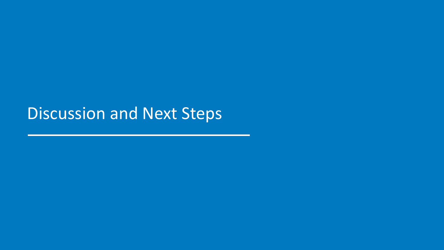Discussion and Next Steps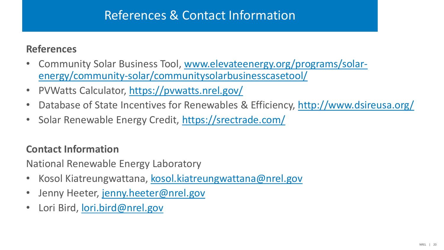## References & Contact Information

### **References**

- [Community Solar Business Tool, www.elevateenergy.org/programs/solar](http://www.elevateenergy.org/programs/solar-energy/community-solar/communitysolarbusinesscasetool/)energy/community-solar/communitysolarbusinesscasetool/
- PVWatts Calculator,<https://pvwatts.nrel.gov/>
- Database of State Incentives for Renewables & Efficiency,<http://www.dsireusa.org/>
- Solar Renewable Energy Credit,<https://srectrade.com/>

### **Contact Information**

National Renewable Energy Laboratory

- Kosol Kiatreungwattana, [kosol.kiatreungwattana@nrel.gov](mailto:kosol.kiatreungwattana@nrel.gov)
- Jenny Heeter, [jenny.heeter@nrel.gov](mailto:jenny.heeter@nrel.gov)
- Lori Bird, [lori.bird@nrel.gov](mailto:lori.bird@nrel.gov)